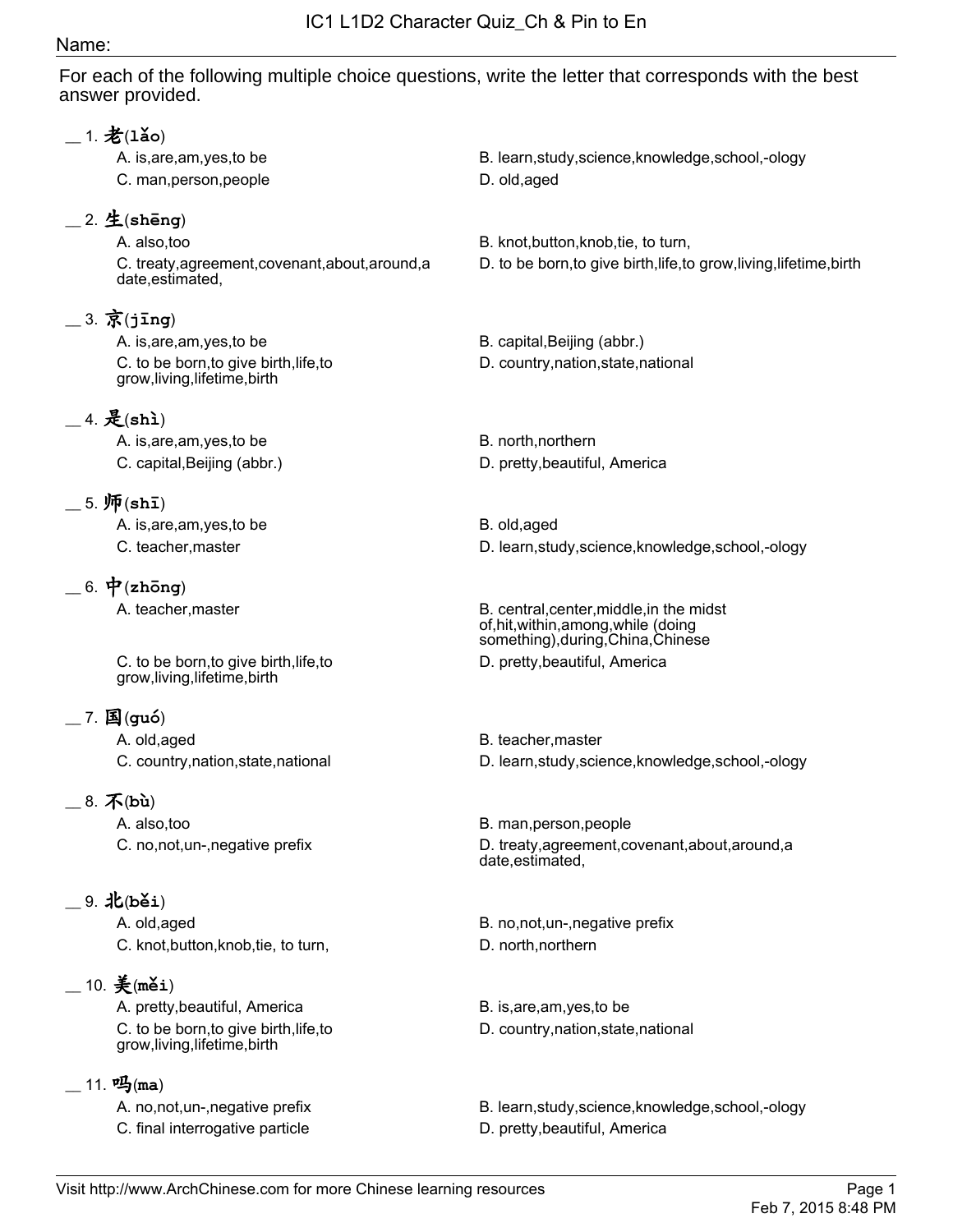## Name:

For each of the following multiple choice questions, write the letter that corresponds with the best answer provided.

| $\_$ 1. 老(1ǎo)                                                          |                                                                                                                        |
|-------------------------------------------------------------------------|------------------------------------------------------------------------------------------------------------------------|
| A. is, are, am, yes, to be                                              | B. learn, study, science, knowledge, school,-ology                                                                     |
| C. man, person, people                                                  | D. old, aged                                                                                                           |
| $\_\$ 2. 生(shēng)                                                       |                                                                                                                        |
| A. also, too                                                            | B. knot, button, knob, tie, to turn,                                                                                   |
| C. treaty, agreement, covenant, about, around, a<br>date, estimated,    | D. to be born, to give birth, life, to grow, living, lifetime, birth                                                   |
| $=$ 3. 京(jing)                                                          |                                                                                                                        |
| A. is, are, am, yes, to be                                              | B. capital, Beijing (abbr.)                                                                                            |
| C. to be born, to give birth, life, to<br>grow, living, lifetime, birth | D. country, nation, state, national                                                                                    |
| $-4.$ 是(shi)                                                            |                                                                                                                        |
| A. is, are, am, yes, to be                                              | B. north, northern                                                                                                     |
| C. capital, Beijing (abbr.)                                             | D. pretty, beautiful, America                                                                                          |
| $5. \,\mathfrak{m}(\sh$ ī)                                              |                                                                                                                        |
| A. is, are, am, yes, to be                                              | B. old, aged                                                                                                           |
| C. teacher, master                                                      | D. learn, study, science, knowledge, school,-ology                                                                     |
| $= 6.$ $\vec{\mathbf{\mathsf{P}}}$ (zhōng)                              |                                                                                                                        |
| A. teacher, master                                                      | B. central, center, middle, in the midst<br>of, hit, within, among, while (doing<br>something), during, China, Chinese |
| C. to be born, to give birth, life, to<br>grow, living, lifetime, birth | D. pretty, beautiful, America                                                                                          |
| $-7.$ 国(guó)                                                            |                                                                                                                        |
| A. old, aged                                                            | B. teacher, master                                                                                                     |
| C. country, nation, state, national                                     | D. learn, study, science, knowledge, school, -ology                                                                    |
| $8. \overline{\mathcal{K}}$ (bù)                                        |                                                                                                                        |
| A. also,too                                                             | B. man, person, people                                                                                                 |
| C. no, not, un-, negative prefix                                        | D. treaty, agreement, covenant, about, around, a<br>date, estimated,                                                   |
| __ 9. 北(běi)                                                            |                                                                                                                        |
| A. old, aged                                                            | B. no, not, un-, negative prefix                                                                                       |
| C. knot, button, knob, tie, to turn,                                    | D. north, northern                                                                                                     |
| $=$ 10. $\frac{2}{3}$ (měi)                                             |                                                                                                                        |
| A. pretty, beautiful, America                                           | B. is, are, am, yes, to be                                                                                             |
| C. to be born, to give birth, life, to<br>grow, living, lifetime, birth | D. country, nation, state, national                                                                                    |
| $11.$ 吗(ma)                                                             |                                                                                                                        |

C. final interrogative particle **D. pretty, beautiful, America** 

A. no,not,un-,negative prefix B. learn,study,science,knowledge,school,-ology